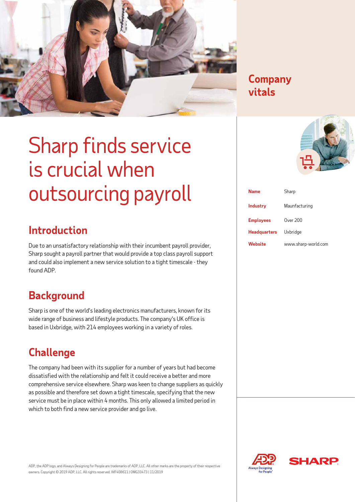

#### **Company Company vitals vitals**

## Sharp finds service is crucial when outsourcing payroll

## **Introduction**

Due to an unsatisfactory relationship with their incumbent payroll provider, Sharp sought a payroll partner that would provide a top class payroll support and could also implement a new service solution to a tight timescale - they found ADP.

#### **Background**

Sharp is one of the world's leading electronics manufacturers, known for its wide range of business and lifestyle products. The company's UK office is based in Uxbridge, with 214 employees working in a variety of roles.

#### **Challenge**

The company had been with its supplier for a number of years but had become dissatisfied with the relationship and felt it could receive a better and more comprehensive service elsewhere. Sharp was keen to change suppliers as quickly as possible and therefore set down a tight timescale, specifying that the new service must be in place within 4 months. This only allowed a limited period in which to both find a new service provider and go live.

| <b>Name</b>         | Sharp               |
|---------------------|---------------------|
| <b>Industry</b>     | Maunfacturing       |
| <b>Employees</b>    | Over 200            |
| <b>Headquarters</b> | Uxbridae            |
| Website             | www.sharp-world.com |





ADP, the ADP logo, and Always Designing for People are trademarks of ADP, LLC. All other marks are the property of their respective owners. Copyright © 2019 ADP, LLC. All rights reserved. WF408611 | OMG33473 | 11/2019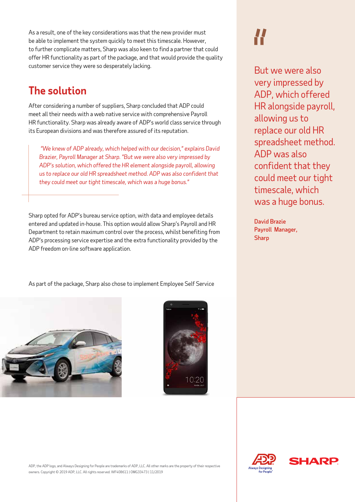As a result, one of the key considerations was that the new provider must be able to implement the system quickly to meet this timescale. However, to further complicate matters, Sharp was also keen to find a partner that could offer HR functionality as part of the package, and that would provide the quality customer service they were so desperately lacking.

#### **The solution**

After considering a number of suppliers, Sharp concluded that ADP could meet all their needs with a web native service with comprehensive Payroll HR functionality. Sharp was already aware of ADP's world class service through its European divisions and was therefore assured of its reputation.

 *"We knew of ADP already, which helped with our decision," explains David Brazier, Payroll Manager at Sharp. "But we were also very impressed by ADP's solution, which offered the HR element alongside payroll, allowing us to replace our old HR spreadsheet method. ADP was also confident that they could meet our tight timescale, which was a huge bonus."* 

Sharp opted for ADP's bureau service option, with data and employee details entered and updated in-house. This option would allow Sharp's Payroll and HR Department to retain maximum control over the process, whilst benefiting from ADP's processing service expertise and the extra functionality provided by the ADP freedom on-line software application.

As part of the package, Sharp also chose to implement Employee Self Service





But we were also very impressed by ADP, which offered HR alongside payroll, allowing us to replace our old HR spreadsheet method. ADP was also confident that they could meet our tight timescale, which was a huge bonus.

David Brazie Payroll Manager, Sharp



ADP, the ADP logo, and Always Designing for People are trademarks of ADP, LLC. All other marks are the property of their respective owners. Copyright © 2019 ADP, LLC. All rights reserved. WF408611 | OMG33473 | 11/2019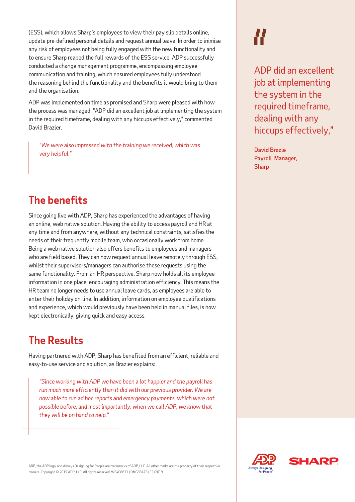(ESS), which allows Sharp's employees to view their pay slip details online, update pre-defined personal details and request annual leave. In order to inimise any risk of employees not being fully engaged with the new functionality and to ensure Sharp reaped the full rewards of the ESS service, ADP successfully conducted a change management programme, encompassing employee communication and training, which ensured employees fully understood the reasoning behind the functionality and the benefits it would bring to them and the organisation.

ADP was implemented on time as promised and Sharp were pleased with how the process was managed. "ADP did an excellent job at implementing the system in the required timeframe, dealing with any hiccups effectively," commented David Brazier.

*"We were also impressed with the training we received, which was very helpful."*

## **The benefits**

Since going live with ADP, Sharp has experienced the advantages of having an online, web native solution. Having the ability to access payroll and HR at any time and from anywhere, without any technical constraints, satisfies the needs of their frequently mobile team, who occasionally work from home. Being a web native solution also offers benefits to employees and managers who are field based. They can now request annual leave remotely through ESS, whilst their supervisors/managers can authorise these requests using the same functionality. From an HR perspective, Sharp now holds all its employee information in one place, encouraging administration efficiency. This means the HR team no longer needs to use annual leave cards, as employees are able to enter their holiday on-line. In addition, information on employee qualifications and experience, which would previously have been held in manual files, is now kept electronically, giving quick and easy access.

#### **The Results**

Having partnered with ADP, Sharp has benefited from an efficient, reliable and easy-to-use service and solution, as Brazier explains:

*"Since working with ADP we have been a lot happier and the payroll has run much more efficiently than it did with our previous provider. We are now able to run ad hoc reports and emergency payments, which were not possible before, and most importantly, when we call ADP, we know that they will be on hand to help."* 

#### ADP, the ADP logo, and Always Designing for People are trademarks of ADP, LLC. All other marks are the property of their respective owners. Copyright © 2019 ADP, LLC. All rights reserved. WF408611 | OMG33473 | 11/2019

ADP did an excellent job at implementing the system in the required timeframe, dealing with any hiccups effectively,"

David Brazie Payroll Manager, **Sharp**